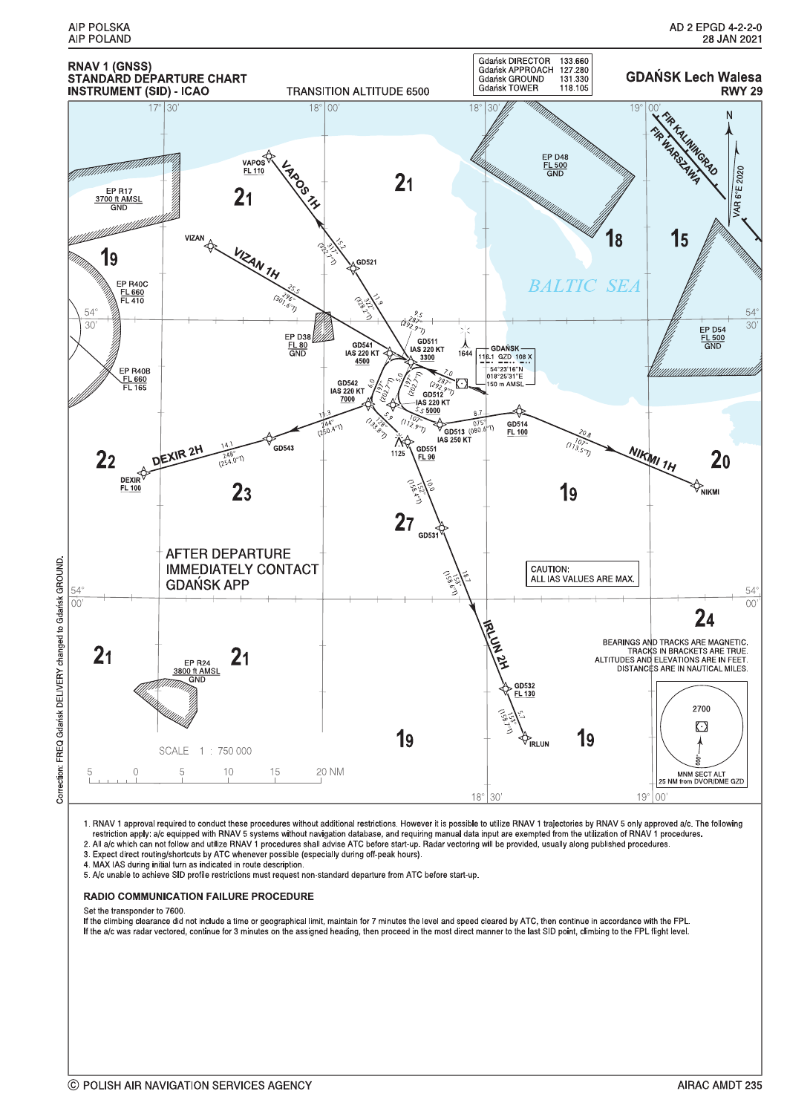

Correction: FREQ Gdańsk DELIVERY changed to Gdańsk GROUND

1. RNAV 1 approval required to conduct these procedures without additional restrictions. However it is possible to utilize RNAV 1 trajectories by RNAV 5 only approved a/c. The following<br>restriction apply: a/c equipped with

3. Expect direct routing/shortcuts by ATC whenever possible (especially during off-peak hours).

4. MAX IAS during initial turn as indicated in route description.

5. A/c unable to achieve SID profile restrictions must request non-standard departure from ATC before start-up.

### **RADIO COMMUNICATION FAILURE PROCEDURE**

Set the transponder to 7600.

If the climbing clearance did not include a time or geographical limit, maintain for 7 minutes the level and speed cleared by ATC, then continue in accordance with the FPL. If the a/c was radar vectored, continue for 3 minutes on the assigned heading, then proceed in the most direct manner to the last SID point, climbing to the FPL flight level.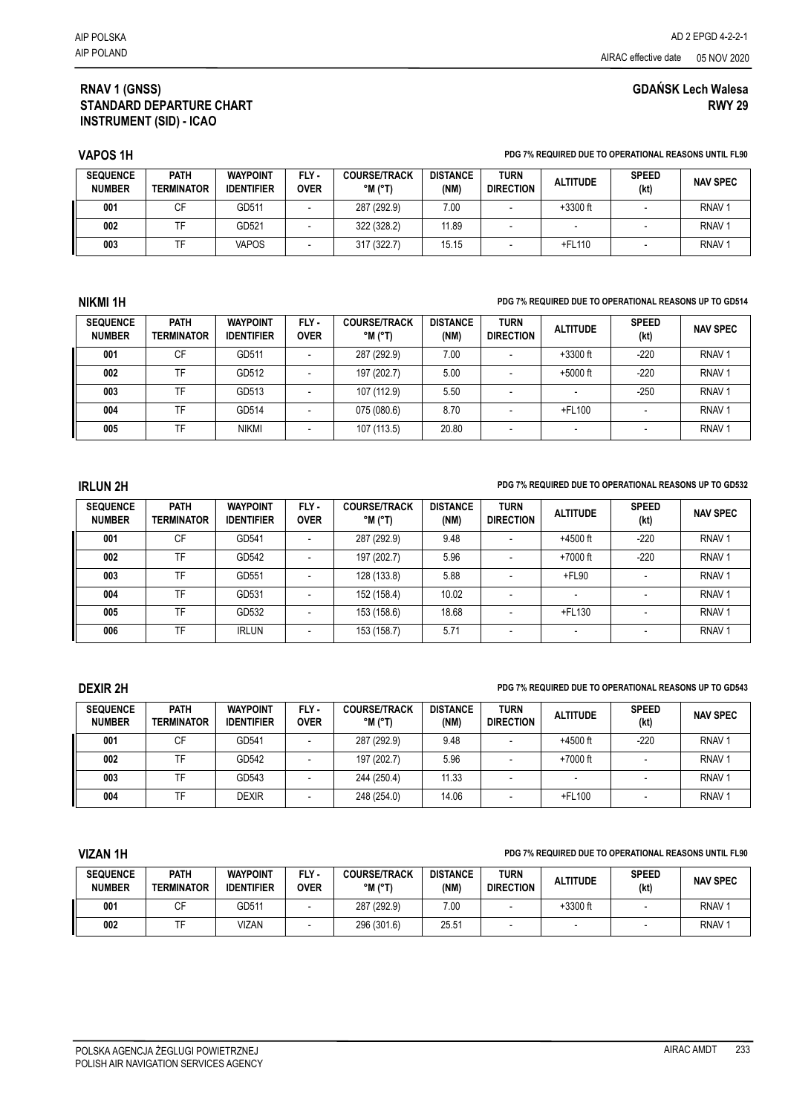# **GDAŃSK Lech Walesa RWY 29**

## **RNAV 1 (GNSS) STANDARD DEPARTURE CHART INSTRUMENT (SID) - ICAO**

### **VAPOS 1H PDG 7% REQUIRED DUE TO OPERATIONAL REASONS UNTIL FL90**

| <b>SEQUENCE</b><br><b>NUMBER</b> | <b>PATH</b><br><b>TERMINATOR</b> | <b>WAYPOINT</b><br><b>IDENTIFIER</b> | FLY-<br><b>OVER</b> | <b>COURSE/TRACK</b><br>$^{\circ}$ M $^{\circ}$ T) | <b>DISTANCE</b><br>(NM) | <b>TURN</b><br><b>DIRECTION</b> | <b>ALTITUDE</b> | <b>SPEED</b><br>(kt) | <b>NAV SPEC</b>   |
|----------------------------------|----------------------------------|--------------------------------------|---------------------|---------------------------------------------------|-------------------------|---------------------------------|-----------------|----------------------|-------------------|
| 001                              |                                  | GD511                                |                     | 287 (292.9)                                       | 7.00                    |                                 | $+3300$ ft      |                      | RNAV <sup></sup>  |
| 002                              |                                  | GD521                                |                     | 322 (328.2)                                       | 11.89                   |                                 |                 |                      | RNAV <sup>1</sup> |
| 003                              |                                  | VAPOS                                |                     | 317 (322.7)                                       | 15.15                   |                                 | +FL110          |                      | RNAV <sup></sup>  |

### **NIKMI 1H PDG 7% REQUIRED DUE TO OPERATIONAL REASONS UP TO GD514**

| <b>SEQUENCE</b><br><b>NUMBER</b> | PATH<br><b>TERMINATOR</b> | <b>WAYPOINT</b><br><b>IDENTIFIER</b> | FLY-<br><b>OVER</b> | <b>COURSE/TRACK</b><br>$^{\circ}$ M $^{\circ}$ T) | <b>DISTANCE</b><br>(NM) | <b>TURN</b><br><b>DIRECTION</b> | <b>ALTITUDE</b> | <b>SPEED</b><br>(kt) | <b>NAV SPEC</b>   |
|----------------------------------|---------------------------|--------------------------------------|---------------------|---------------------------------------------------|-------------------------|---------------------------------|-----------------|----------------------|-------------------|
| 001                              | СF                        | GD511                                |                     | 287 (292.9)                                       | 7.00                    |                                 | $+3300$ ft      | $-220$               | RNAV <sup></sup>  |
| 002                              | TF                        | GD512                                |                     | 197 (202.7)                                       | 5.00                    |                                 | $+5000$ ft      | $-220$               | RNAV <sup></sup>  |
| 003                              | TF                        | GD513                                |                     | 107 (112.9)                                       | 5.50                    |                                 |                 | $-250$               | RNAV <sub>1</sub> |
| 004                              | TF                        | GD514                                |                     | 075 (080.6)                                       | 8.70                    |                                 | +FL100          |                      | RNAV <sup></sup>  |
| 005                              | TF                        | <b>NIKMI</b>                         |                     | 107 (113.5)                                       | 20.80                   | -                               | -               |                      | RNAV <sup></sup>  |

### **IRLUN 2H PDG 7% REQUIRED DUE TO OPERATIONAL REASONS UP TO GD532**

| <b>SEQUENCE</b><br><b>NUMBER</b> | <b>PATH</b><br><b>TERMINATOR</b> | <b>WAYPOINT</b><br><b>IDENTIFIER</b> | FLY-<br><b>OVER</b> | <b>COURSE/TRACK</b><br>$^{\circ}$ M ( $^{\circ}$ T) | <b>DISTANCE</b><br>(NM) | <b>TURN</b><br><b>DIRECTION</b> | <b>ALTITUDE</b> | <b>SPEED</b><br>(kt) | <b>NAV SPEC</b>   |
|----------------------------------|----------------------------------|--------------------------------------|---------------------|-----------------------------------------------------|-------------------------|---------------------------------|-----------------|----------------------|-------------------|
| 001                              | CF                               | GD541                                |                     | 287 (292.9)                                         | 9.48                    |                                 | +4500 ft        | $-220$               | RNAV <sub>1</sub> |
| 002                              | TF.                              | GD542                                |                     | 197 (202.7)                                         | 5.96                    |                                 | +7000 ft        | $-220$               | RNAV <sub>1</sub> |
| 003                              | TF.                              | GD551                                |                     | 128 (133.8)                                         | 5.88                    |                                 | +FL90           |                      | RNAV <sub>1</sub> |
| 004                              | <b>TF</b>                        | GD531                                |                     | 152 (158.4)                                         | 10.02                   | -                               |                 |                      | RNAV <sub>1</sub> |
| 005                              | TF.                              | GD532                                |                     | 153 (158.6)                                         | 18.68                   | -                               | $+$ FL130       |                      | RNAV <sub>1</sub> |
| 006                              | TF.                              | <b>IRLUN</b>                         |                     | 153 (158.7)                                         | 5.71                    | $\overline{\phantom{a}}$        |                 |                      | RNAV <sub>1</sub> |

## **DEXIR 2H PDG 7% REQUIRED DUE TO OPERATIONAL REASONS UP TO GD543**

| <b>SEQUENCE</b><br><b>NUMBER</b> | <b>PATH</b><br><b>TERMINATOR</b> | <b>WAYPOINT</b><br><b>IDENTIFIER</b> | FLY-<br><b>OVER</b> | <b>COURSE/TRACK</b><br>$^{\circ}$ M $^{\circ}$ T) | <b>DISTANCE</b><br>(NM) | <b>TURN</b><br><b>DIRECTION</b> | <b>ALTITUDE</b> | <b>SPEED</b><br>(kt) | <b>NAV SPEC</b>   |
|----------------------------------|----------------------------------|--------------------------------------|---------------------|---------------------------------------------------|-------------------------|---------------------------------|-----------------|----------------------|-------------------|
| 001                              | СF                               | GD541                                |                     | 287 (292.9)                                       | 9.48                    |                                 | $+4500$ ft      | $-220$               | RNAV <sub>1</sub> |
| 002                              | TF                               | GD542                                |                     | 197 (202.7)                                       | 5.96                    |                                 | $+7000$ ft      |                      | RNAV <sup></sup>  |
| 003                              |                                  | GD543                                |                     | 244 (250.4)                                       | 11.33                   |                                 |                 |                      | RNAV <sup>1</sup> |
| 004                              | TF                               | <b>DEXIR</b>                         |                     | 248 (254.0)                                       | 14.06                   |                                 | +FL100          |                      | RNAV <sub>1</sub> |

### **VIZAN 1H PDG 7% REQUIRED DUE TO OPERATIONAL REASONS UNTIL FL90**

| <b>SEQUENCE</b><br><b>NUMBER</b> | <b>PATH</b><br><b>TERMINATOR</b> | <b>WAYPOINT</b><br><b>IDENTIFIER</b> | FLY -<br><b>OVER</b> | <b>COURSE/TRACK</b><br>$^{\circ}$ M ( $^{\circ}$ T) | <b>DISTANCE</b><br>(NM) | <b>TURN</b><br><b>DIRECTION</b> | <b>ALTITUDE</b> | <b>SPEED</b><br>(kt) | <b>NAV SPEC</b>   |
|----------------------------------|----------------------------------|--------------------------------------|----------------------|-----------------------------------------------------|-------------------------|---------------------------------|-----------------|----------------------|-------------------|
| 001                              |                                  | GD511                                |                      | 287 (292.9)                                         | 7.00                    |                                 | $+3300$ ft      |                      | RNAV <sub>1</sub> |
| 002                              |                                  | VIZAN                                |                      | 296 (301.6)                                         | 25.51                   |                                 |                 |                      | RNAV <sub>1</sub> |